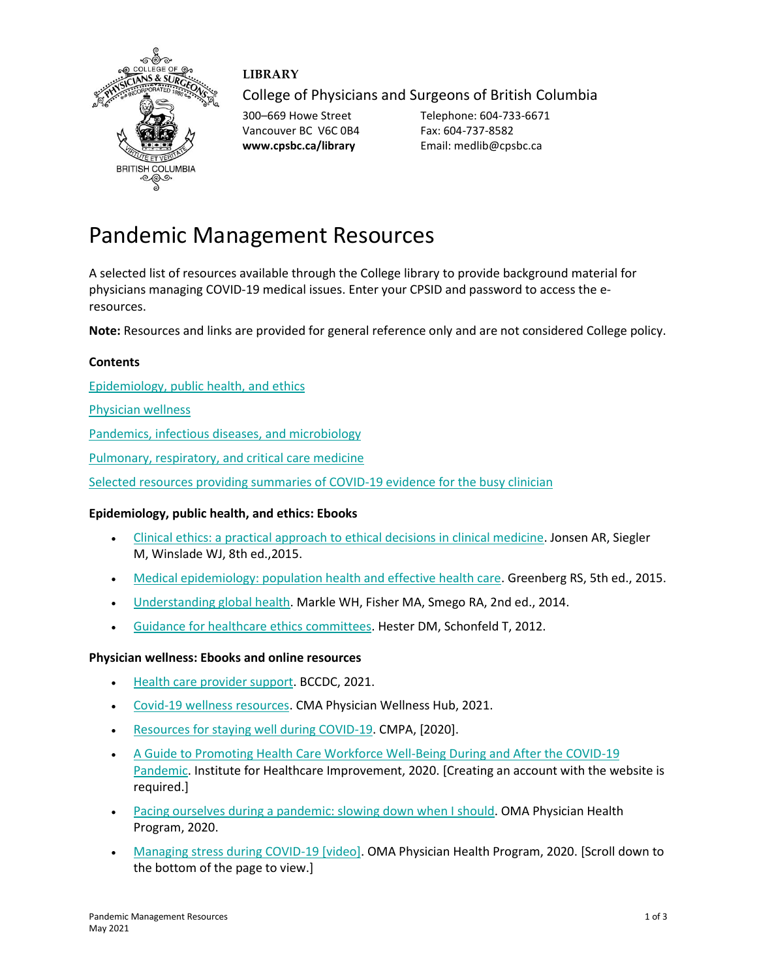

# **LIBRARY**

College of Physicians and Surgeons of British Columbia

Vancouver BC V6C 0B4 Fax: 604-737-8582

300–669 Howe Street Telephone: 604-733-6671 **www.cpsbc.ca/library** Email: medlib@cpsbc.ca

# Pandemic Management Resources

A selected list of resources available through the College library to provide background material for physicians managing COVID-19 medical issues. Enter your CPSID and password to access the eresources.

**Note:** Resources and links are provided for general reference only and are not considered College policy.

### **Contents**

[Epidemiology, public health, and ethics](#page-0-0)

[Physician wellness](#page-0-1)

[Pandemics, infectious diseases, and microbiology](#page-1-0)

[Pulmonary, respiratory, and critical care medicine](#page-1-1)

Selected resources providing summaries of COVID-19 evidence for the busy clinician

## <span id="page-0-0"></span>**Epidemiology, public health, and ethics: Ebooks**

- [Clinical ethics: a practical approach to ethical decisions in clinical medicine.](https://www.cpsbc.ca/proxyauth/?url=https%3A%2F%2Faccessmedicine.mhmedical.com%2Fbook.aspx%3Fbookid%3D1521) Jonsen AR, Siegler M, Winslade WJ, 8th ed.,2015.
- [Medical epidemiology: population health and effective health care.](https://www.cpsbc.ca/proxyauth/?url=https%3A%2F%2Faccessmedicine.mhmedical.com%2Fbook.aspx%3Fbookid%3D1430) Greenberg RS, 5th ed., 2015.
- [Understanding global health.](https://www.cpsbc.ca/proxyauth/?url=https%3A%2F%2Faccessmedicine.mhmedical.com%2Fbook.aspx%3Fbookid%3D710) Markle WH, Fisher MA, Smego RA, 2nd ed., 2014.
- [Guidance for healthcare ethics committees.](https://tinyurl.com/42ezsmku) Hester DM, Schonfeld T, 2012.

#### <span id="page-0-1"></span>**Physician wellness: Ebooks and online resources**

- [Health care provider support.](http://www.bccdc.ca/health-professionals/clinical-resources/covid-19-care/health-care-provider-support) BCCDC, 2021.
- [Covid-19 wellness resources.](https://www.cma.ca/physician-wellness-hub/topics/COVID-19-wellness) CMA Physician Wellness Hub, 2021.
- [Resources for staying well during COVID-19.](https://www.cmpa-acpm.ca/en/covid19/physician-wellness-resources) CMPA, [2020].
- [A Guide to Promoting Health Care Workforce Well-Being During and After the COVID-19](http://www.ihi.org/resources/Pages/Publications/guide-to-promoting-health-care-workforce-well-being-during-and-after-the-COVID-19-pandemic.aspx)  [Pandemic.](http://www.ihi.org/resources/Pages/Publications/guide-to-promoting-health-care-workforce-well-being-during-and-after-the-COVID-19-pandemic.aspx) Institute for Healthcare Improvement, 2020. [Creating an account with the website is required.]
- [Pacing ourselves during a pandemic: slowing down when I should.](https://php.oma.org/uploadedfiles/php/well-being/publications/covid-pacing-ourselves-pandemic-resource-march-26-2020.pdf) OMA Physician Health Program, 2020.
- [Managing stress during COVID-19 \[video\].](https://php.oma.org/well-being/videos/) OMA Physician Health Program, 2020. [Scroll down to the bottom of the page to view.]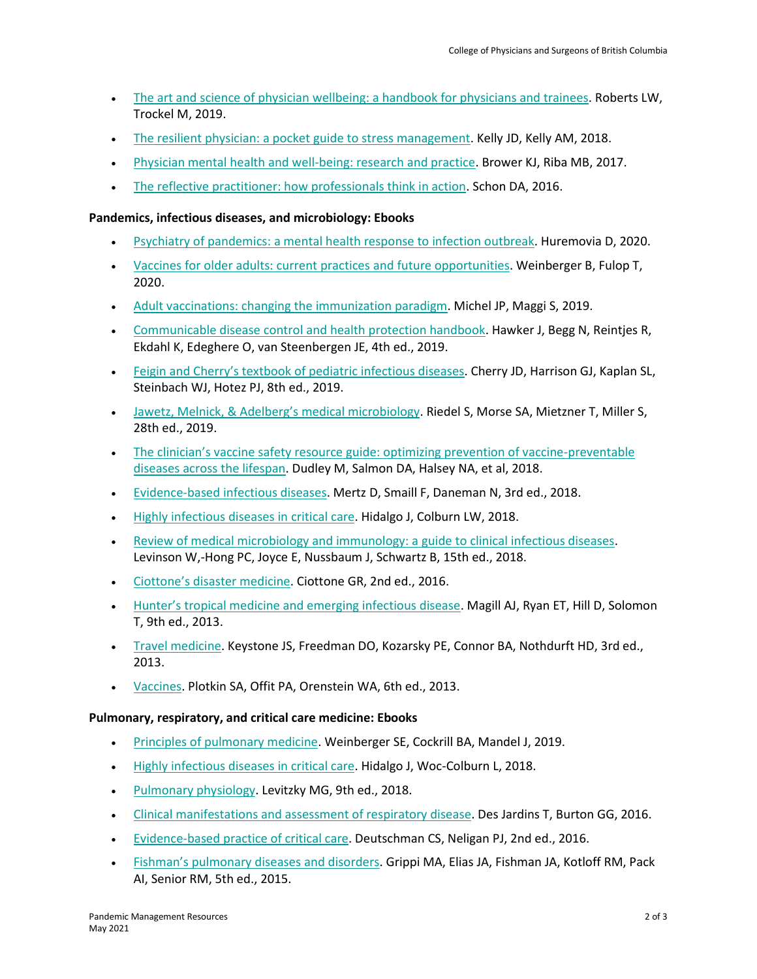- [The art and science of physician wellbeing: a handbook for physicians and trainees.](https://www.cpsbc.ca/proxyauth/?url=https%3A%2F%2Febookcentral.proquest.com%2Flib%2Fcpsbcca%2Fdetail.action%3FdocID%3D5776164) Roberts LW, Trockel M, 2019.
- [The resilient physician: a pocket guide to stress management.](https://www.cpsbc.ca/proxyauth/?url=https%3A%2F%2Febookcentral.proquest.com%2Flib%2Fcpsbcca%2Fdetail.action%3FdocID%3D4987498) Kelly JD, Kelly AM, 2018.
- [Physician mental health and well-being: research and practice.](https://www.cpsbc.ca/proxyauth/?url=https%3A%2F%2Febookcentral.proquest.com%2Flib%2Fcpsbcca%2Fdetail.action%3FdocID%3D4900830) Brower KJ, Riba MB, 2017.
- [The reflective practitioner: how professionals think in action.](https://www.cpsbc.ca/proxyauth/?url=https%3A%2F%2Febookcentral.proquest.com%2Flib%2Fcpsbcca%2Fdetail.action%3FdocID%3D4816972) Schon DA, 2016.

#### <span id="page-1-0"></span>**Pandemics, infectious diseases, and microbiology: Ebooks**

- Psychiatry of pandemics: a [mental health response to infection outbreak.](https://www.cpsbc.ca/proxyauth/?url=https%3A%2F%2Febookcentral.proquest.com%2Flib%2Fcpsbcca%2Fdetail.action%3FdocID%3D5776029) Huremovia D, 2020.
- [Vaccines for older adults: current practices and future opportunities.](https://www.cpsbc.ca/proxyauth/?url=https%3A%2F%2Febookcentral.proquest.com%2Flib%2Fcpsbcca%2Fdetail.action%3FdocID%3D6184689) Weinberger B, Fulop T, 2020.
- [Adult vaccinations: changing the immunization paradigm.](https://tinyurl.com/2zw9jz4r) Michel JP, Maggi S, 2019.
- [Communicable disease control and health protection handbook.](https://tinyurl.com/4r2jpdhw) Hawker J, Begg N, Reintjes R, Ekdahl K, Edeghere O, van Steenbergen JE, 4th ed., 2019.
- Feigin and Cherry'[s textbook of pediatric infectious diseases.](https://www.cpsbc.ca/proxyauth/?url=https%3A%2F%2Fwww.clinicalkey.com%2Fdura%2Fbrowse%2FbookChapter%2F3-s2.0-C20141033200) Cherry JD, Harrison GJ, Kaplan SL, Steinbach WJ, Hotez PJ, 8th ed., 2019.
- [Jawetz, Melnick, & Adelberg](https://www.cpsbc.ca/proxyauth/?url=https%3A%2F%2Faccessmedicine.mhmedical.com%2Fbook.aspx%3Fbookid%3D2629)'s medical microbiology. Riedel S, Morse SA, Mietzner T, Miller S, 28th ed., 2019.
- The clinician's vaccine safety resource guide: optimizing prevention of vaccine-preventable [diseases across the lifespan.](https://tinyurl.com/rj3dv4fm) Dudley M, Salmon DA, Halsey NA, et al, 2018.
- [Evidence-based infectious diseases.](https://www.cpsbc.ca/proxyauth/?url=https%3A%2F%2Febookcentral.proquest.com%2Flib%2Fcpsbcca%2Fdetail.action%3FdocID%3D5425023) Mertz D, Smaill F, Daneman N, 3rd ed., 2018.
- [Highly infectious diseases in critical care.](https://tinyurl.com/2ub3wp9x) Hidalgo J, Colburn LW, 2018.
- [Review of medical microbiology and immunology: a guide to clinical infectious diseases.](https://www.cpsbc.ca/proxyauth/?url=https%3A%2F%2Faccessmedicine.mhmedical.com%2Fbook.aspx%3Fbookid%3D2381) Levinson W,-Hong PC, Joyce E, Nussbaum J, Schwartz B, 15th ed., 2018.
- Ciottone'[s disaster medicine.](https://www.cpsbc.ca/proxyauth/?url=https%3A%2F%2Fwww.clinicalkey.com%2Fdura%2Fbrowse%2FbookChapter%2F3-s2.0-C20130006937) Ciottone GR, 2nd ed., 2016.
- Hunter's tropical [medicine and emerging infectious disease.](https://tinyurl.com/bxp5zbr4) Magill AJ, Ryan ET, Hill D, Solomon T, 9th ed., 2013.
- [Travel medicine.](https://tinyurl.com/33c4c8a9) Keystone JS, Freedman DO, Kozarsky PE, Connor BA, Nothdurft HD, 3rd ed., 2013.
- [Vaccines.](https://tinyurl.com/ypk9r8c6) Plotkin SA, Offit PA, Orenstein WA, 6th ed., 2013.

#### <span id="page-1-1"></span>**Pulmonary, respiratory, and critical care medicine: Ebooks**

- [Principles of pulmonary medicine.](https://tinyurl.com/5e4twpbj) Weinberger SE, Cockrill BA, Mandel J, 2019.
- [Highly infectious diseases in critical care.](https://tinyurl.com/2ub3wp9x) Hidalgo J, Woc-Colburn L, 2018.
- [Pulmonary physiology.](https://www.cpsbc.ca/proxyauth/?url=https%3A%2F%2Faccessmedicine.mhmedical.com%2Fbook.aspx%3Fbookid%3D2288) Levitzky MG, 9th ed., 2018.
- [Clinical manifestations and assessment of respiratory disease.](https://www.cpsbc.ca/proxyauth/?url=https%3A%2F%2Febookcentral.proquest.com%2Flib%2Fcpsbcca%2Fdetail.action%3FdocID%3D2074585) Des Jardins T, Burton GG, 2016.
- [Evidence-based practice of critical care.](https://tinyurl.com/syfwmxy4) Deutschman CS, Neligan PJ, 2nd ed., 2016.
- Fishman'[s pulmonary diseases and disorders.](https://www.cpsbc.ca/proxyauth/?url=https%3A%2F%2Faccessmedicine.mhmedical.com%2Fbook.aspx%3Fbookid%3D1344) Grippi MA, Elias JA, Fishman JA, Kotloff RM, Pack AI, Senior RM, 5th ed., 2015.